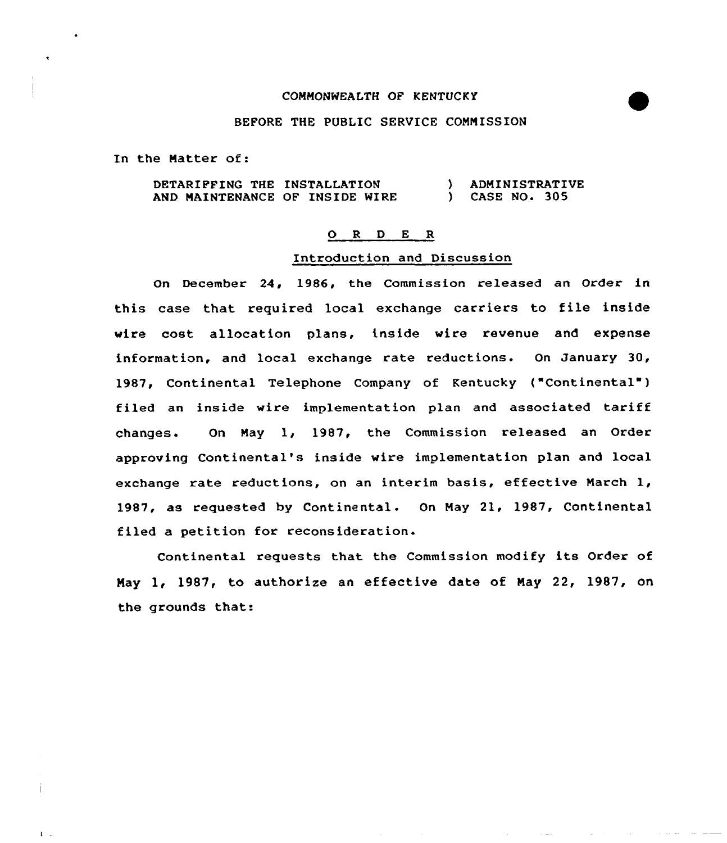# COMMONWEALTH OF KENTUCKY

## BEFORE THE PUBLIC SERVICE COMMISSION

In the Matter of:

 $\mathbf{1}$ 

DETARIPFINQ THE INSTALLATION AND MAINTENANCE OF INSIDE WIRE ) ADMINISTRATIVE ) CASE NO. 305

## 0 <sup>R</sup> <sup>D</sup> E <sup>R</sup>

### Introduction and Discussion

On December 24, 1986, the Commission released an Order in this case that required local exchange carriers to file inside wire cost allocation plans, inside wire revenue and expense information, and local exchange rate reductions. On January 30, 1987, Continental Telephone Company of Kentucky ("Continental") filed an inside wire implementation plan and associated tariff changes. Qn May 1, 1987, the Commission released an Order approving Continental's inside wire implementation plan and local exchange rate reductions, on an interim basis, effective March 1, 1987, as requested by Continental. On May 21, 1987, Continental filed a petition for reconsideration.

Continental requests that the Commission modify its Order of May 1, 1987, to authorize an effective date of May 22, 1987, on the grounds that: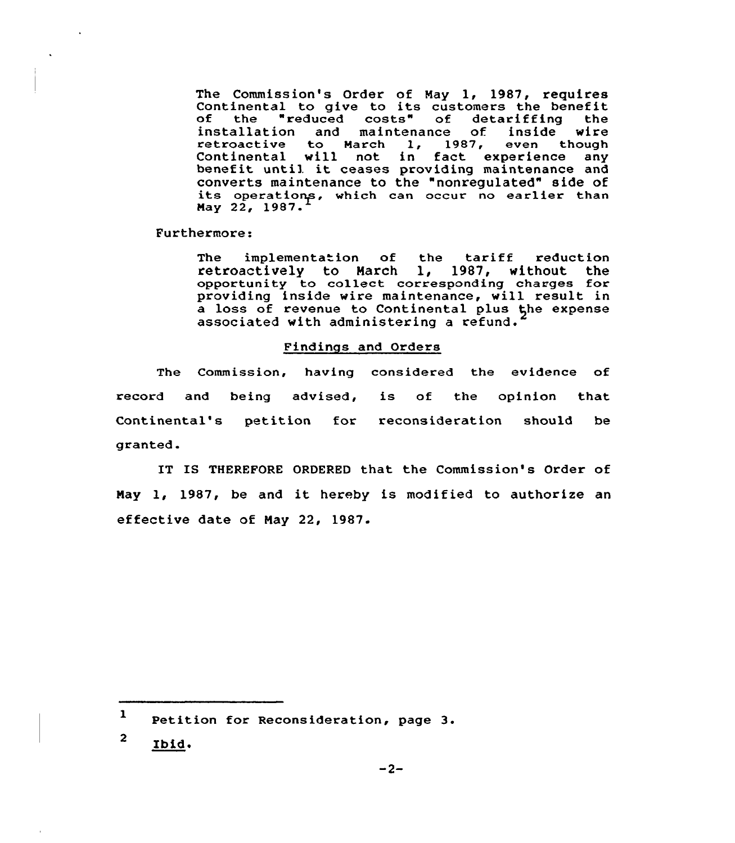The Commission's Order of May 1, 1987, requires Continental to give to its customers the benefit<br>of the "reduced costs" of detariffing the<br>installation and maintenance of inside wire installation and maintenance of inside wire<br>retroactive to March 1, 1987, even though Continental will not in fact experience any benefit until it ceases providing maintenance and benefit until it ceases providing maintenance and<br>converts maintenance to the "nonregulated" side of<br>its operations, which can occur no earlier than Nay 22, 1987.

Furthermore:

The implementation of the tariff reduction<br>retroactively to March 1, 1987, without the retroactively to March opportunity to collect corresponding charges for providing inside wire maintenance, will result in a loss of revenue to Continental plus the expense associated with administering a refund.

### Findings and Orders

The Commission, having considered the evidence of record and being advised, is of the opinion that Continental's petition for reconsideration should be granted.

IT IS THEREFORE ORDERED that the Commission's Order of May 1, 1987, be and it hereby is modified to authorize an effective date of May 22, 1987.

<sup>1</sup> Petition for Reconsideration, page 3.

 $\overline{2}$ Ibid.